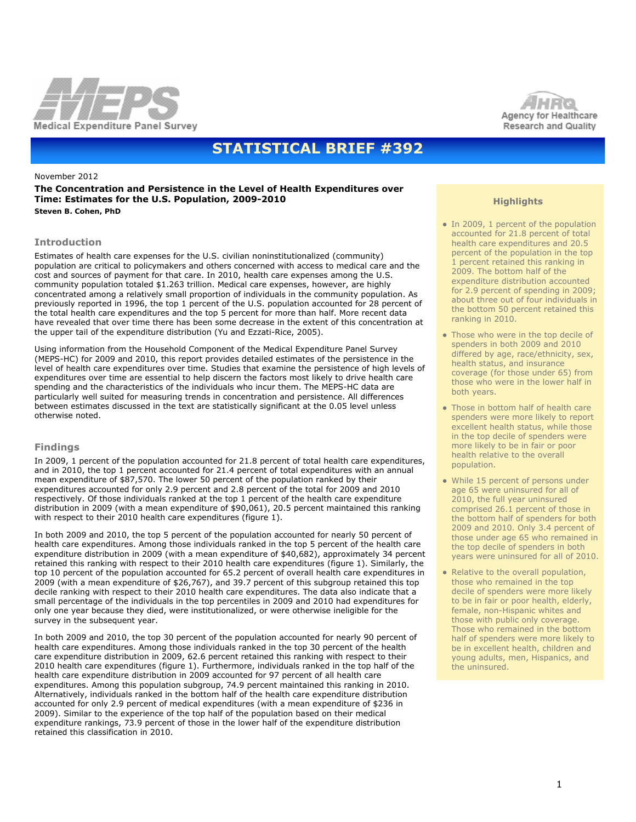



# **STATISTICAL BRIEF #392**

#### November 2012

**The Concentration and Persistence in the Level of Health Expenditures over Time: Estimates for the U.S. Population, 2009-2010**

*Steven B. Cohen, PhD* 

# **Introduction**

Estimates of health care expenses for the U.S. civilian noninstitutionalized (community) population are critical to policymakers and others concerned with access to medical care and the cost and sources of payment for that care. In 2010, health care expenses among the U.S. community population totaled \$1.263 trillion. Medical care expenses, however, are highly concentrated among a relatively small proportion of individuals in the community population. As previously reported in 1996, the top 1 percent of the U.S. population accounted for 28 percent of the total health care expenditures and the top 5 percent for more than half. More recent data have revealed that over time there has been some decrease in the extent of this concentration at the upper tail of the expenditure distribution (Yu and Ezzati-Rice, 2005).

Using information from the Household Component of the Medical Expenditure Panel Survey (MEPS-HC) for 2009 and 2010, this report provides detailed estimates of the persistence in the level of health care expenditures over time. Studies that examine the persistence of high levels of expenditures over time are essential to help discern the factors most likely to drive health care spending and the characteristics of the individuals who incur them. The MEPS-HC data are particularly well suited for measuring trends in concentration and persistence. All differences between estimates discussed in the text are statistically significant at the 0.05 level unless otherwise noted.

# **Findings**

In 2009, 1 percent of the population accounted for 21.8 percent of total health care expenditures, and in 2010, the top 1 percent accounted for 21.4 percent of total expenditures with an annual mean expenditure of \$87,570. The lower 50 percent of the population ranked by their expenditures accounted for only 2.9 percent and 2.8 percent of the total for 2009 and 2010 respectively. Of those individuals ranked at the top 1 percent of the health care expenditure distribution in 2009 (with a mean expenditure of \$90,061), 20.5 percent maintained this ranking with respect to their 2010 health care expenditures (figure 1).

In both 2009 and 2010, the top 5 percent of the population accounted for nearly 50 percent of health care expenditures. Among those individuals ranked in the top 5 percent of the health care expenditure distribution in 2009 (with a mean expenditure of \$40,682), approximately 34 percent retained this ranking with respect to their 2010 health care expenditures (figure 1). Similarly, the top 10 percent of the population accounted for 65.2 percent of overall health care expenditures in 2009 (with a mean expenditure of \$26,767), and 39.7 percent of this subgroup retained this top decile ranking with respect to their 2010 health care expenditures. The data also indicate that a small percentage of the individuals in the top percentiles in 2009 and 2010 had expenditures for only one year because they died, were institutionalized, or were otherwise ineligible for the survey in the subsequent year.

In both 2009 and 2010, the top 30 percent of the population accounted for nearly 90 percent of health care expenditures. Among those individuals ranked in the top 30 percent of the health care expenditure distribution in 2009, 62.6 percent retained this ranking with respect to their 2010 health care expenditures (figure 1). Furthermore, individuals ranked in the top half of the health care expenditure distribution in 2009 accounted for 97 percent of all health care expenditures. Among this population subgroup, 74.9 percent maintained this ranking in 2010. Alternatively, individuals ranked in the bottom half of the health care expenditure distribution accounted for only 2.9 percent of medical expenditures (with a mean expenditure of \$236 in 2009). Similar to the experience of the top half of the population based on their medical expenditure rankings, 73.9 percent of those in the lower half of the expenditure distribution retained this classification in 2010.

### **Highlights**

- In 2009, 1 percent of the population accounted for 21.8 percent of total health care expenditures and 20.5 percent of the population in the top 1 percent retained this ranking in 2009. The bottom half of the expenditure distribution accounted for 2.9 percent of spending in 2009; about three out of four individuals in the bottom 50 percent retained this ranking in 2010.
- Those who were in the top decile of spenders in both 2009 and 2010 differed by age, race/ethnicity, sex, health status, and insurance coverage (for those under 65) from those who were in the lower half in both years.
- Those in bottom half of health care spenders were more likely to report excellent health status, while those in the top decile of spenders were more likely to be in fair or poor health relative to the overall population.
- While 15 percent of persons under age 65 were uninsured for all of 2010, the full year uninsured comprised 26.1 percent of those in the bottom half of spenders for both 2009 and 2010. Only 3.4 percent of those under age 65 who remained in the top decile of spenders in both years were uninsured for all of 2010.
- Relative to the overall population, those who remained in the top decile of spenders were more likely to be in fair or poor health, elderly, female, non-Hispanic whites and those with public only coverage. Those who remained in the bottom half of spenders were more likely to be in excellent health, children and young adults, men, Hispanics, and the uninsured.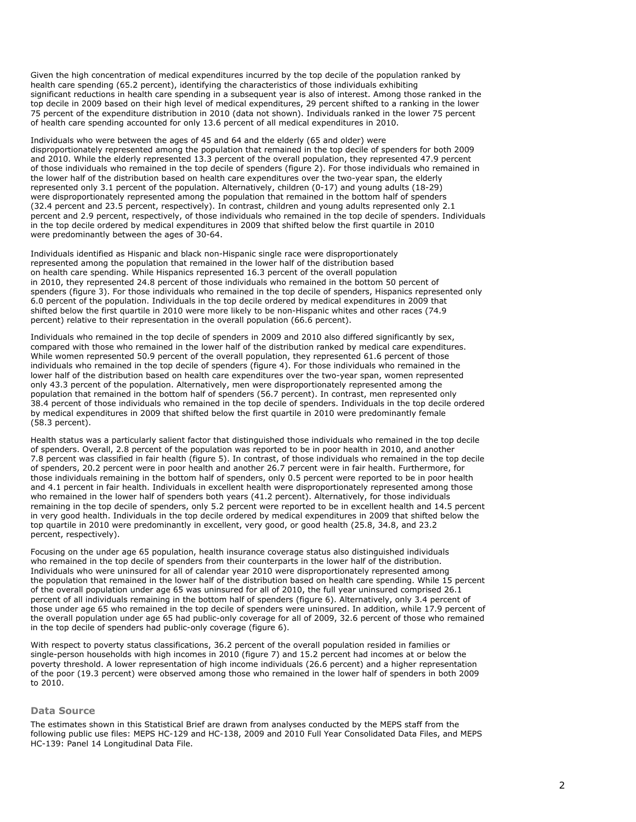Given the high concentration of medical expenditures incurred by the top decile of the population ranked by health care spending (65.2 percent), identifying the characteristics of those individuals exhibiting significant reductions in health care spending in a subsequent year is also of interest. Among those ranked in the top decile in 2009 based on their high level of medical expenditures, 29 percent shifted to a ranking in the lower 75 percent of the expenditure distribution in 2010 (data not shown). Individuals ranked in the lower 75 percent of health care spending accounted for only 13.6 percent of all medical expenditures in 2010.

Individuals who were between the ages of 45 and 64 and the elderly (65 and older) were disproportionately represented among the population that remained in the top decile of spenders for both 2009 and 2010. While the elderly represented 13.3 percent of the overall population, they represented 47.9 percent of those individuals who remained in the top decile of spenders (figure 2). For those individuals who remained in the lower half of the distribution based on health care expenditures over the two-year span, the elderly represented only 3.1 percent of the population. Alternatively, children (0-17) and young adults (18-29) were disproportionately represented among the population that remained in the bottom half of spenders (32.4 percent and 23.5 percent, respectively). In contrast, children and young adults represented only 2.1 percent and 2.9 percent, respectively, of those individuals who remained in the top decile of spenders. Individuals in the top decile ordered by medical expenditures in 2009 that shifted below the first quartile in 2010 were predominantly between the ages of 30-64.

Individuals identified as Hispanic and black non-Hispanic single race were disproportionately represented among the population that remained in the lower half of the distribution based on health care spending. While Hispanics represented 16.3 percent of the overall population in 2010, they represented 24.8 percent of those individuals who remained in the bottom 50 percent of spenders (figure 3). For those individuals who remained in the top decile of spenders, Hispanics represented only 6.0 percent of the population. Individuals in the top decile ordered by medical expenditures in 2009 that shifted below the first quartile in 2010 were more likely to be non-Hispanic whites and other races (74.9 percent) relative to their representation in the overall population (66.6 percent).

Individuals who remained in the top decile of spenders in 2009 and 2010 also differed significantly by sex, compared with those who remained in the lower half of the distribution ranked by medical care expenditures. While women represented 50.9 percent of the overall population, they represented 61.6 percent of those individuals who remained in the top decile of spenders (figure 4). For those individuals who remained in the lower half of the distribution based on health care expenditures over the two-year span, women represented only 43.3 percent of the population. Alternatively, men were disproportionately represented among the population that remained in the bottom half of spenders (56.7 percent). In contrast, men represented only 38.4 percent of those individuals who remained in the top decile of spenders. Individuals in the top decile ordered by medical expenditures in 2009 that shifted below the first quartile in 2010 were predominantly female (58.3 percent).

Health status was a particularly salient factor that distinguished those individuals who remained in the top decile of spenders. Overall, 2.8 percent of the population was reported to be in poor health in 2010, and another 7.8 percent was classified in fair health (figure 5). In contrast, of those individuals who remained in the top decile of spenders, 20.2 percent were in poor health and another 26.7 percent were in fair health. Furthermore, for those individuals remaining in the bottom half of spenders, only 0.5 percent were reported to be in poor health and 4.1 percent in fair health. Individuals in excellent health were disproportionately represented among those who remained in the lower half of spenders both years (41.2 percent). Alternatively, for those individuals remaining in the top decile of spenders, only 5.2 percent were reported to be in excellent health and 14.5 percent in very good health. Individuals in the top decile ordered by medical expenditures in 2009 that shifted below the top quartile in 2010 were predominantly in excellent, very good, or good health (25.8, 34.8, and 23.2 percent, respectively).

Focusing on the under age 65 population, health insurance coverage status also distinguished individuals who remained in the top decile of spenders from their counterparts in the lower half of the distribution. Individuals who were uninsured for all of calendar year 2010 were disproportionately represented among the population that remained in the lower half of the distribution based on health care spending. While 15 percent of the overall population under age 65 was uninsured for all of 2010, the full year uninsured comprised 26.1 percent of all individuals remaining in the bottom half of spenders (figure 6). Alternatively, only 3.4 percent of those under age 65 who remained in the top decile of spenders were uninsured. In addition, while 17.9 percent of the overall population under age 65 had public-only coverage for all of 2009, 32.6 percent of those who remained in the top decile of spenders had public-only coverage (figure 6).

With respect to poverty status classifications, 36.2 percent of the overall population resided in families or single-person households with high incomes in 2010 (figure 7) and 15.2 percent had incomes at or below the poverty threshold. A lower representation of high income individuals (26.6 percent) and a higher representation of the poor (19.3 percent) were observed among those who remained in the lower half of spenders in both 2009 to 2010.

#### **Data Source**

The estimates shown in this Statistical Brief are drawn from analyses conducted by the MEPS staff from the following public use files: MEPS HC-129 and HC-138, 2009 and 2010 Full Year Consolidated Data Files, and MEPS HC-139: Panel 14 Longitudinal Data File.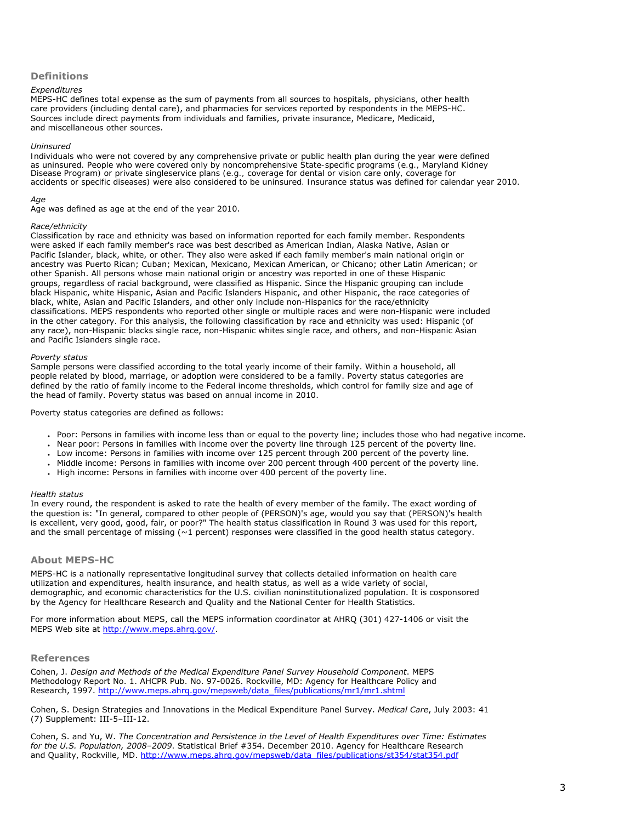# **Definitions**

#### *Expenditures*

MEPS-HC defines total expense as the sum of payments from all sources to hospitals, physicians, other health care providers (including dental care), and pharmacies for services reported by respondents in the MEPS-HC. Sources include direct payments from individuals and families, private insurance, Medicare, Medicaid, and miscellaneous other sources.

#### *Uninsured*

Individuals who were not covered by any comprehensive private or public health plan during the year were defined as uninsured. People who were covered only by noncomprehensive State-specific programs (e.g., Maryland Kidney Disease Program) or private singleservice plans (e.g., coverage for dental or vision care only, coverage for accidents or specific diseases) were also considered to be uninsured. Insurance status was defined for calendar year 2010.

#### *Age*

Age was defined as age at the end of the year 2010.

#### *Race/ethnicity*

Classification by race and ethnicity was based on information reported for each family member. Respondents were asked if each family member's race was best described as American Indian, Alaska Native, Asian or Pacific Islander, black, white, or other. They also were asked if each family member's main national origin or ancestry was Puerto Rican; Cuban; Mexican, Mexicano, Mexican American, or Chicano; other Latin American; or other Spanish. All persons whose main national origin or ancestry was reported in one of these Hispanic groups, regardless of racial background, were classified as Hispanic. Since the Hispanic grouping can include black Hispanic, white Hispanic, Asian and Pacific Islanders Hispanic, and other Hispanic, the race categories of black, white, Asian and Pacific Islanders, and other only include non-Hispanics for the race/ethnicity classifications. MEPS respondents who reported other single or multiple races and were non-Hispanic were included in the other category. For this analysis, the following classification by race and ethnicity was used: Hispanic (of any race), non-Hispanic blacks single race, non-Hispanic whites single race, and others, and non-Hispanic Asian and Pacific Islanders single race.

#### *Poverty status*

Sample persons were classified according to the total yearly income of their family. Within a household, all people related by blood, marriage, or adoption were considered to be a family. Poverty status categories are defined by the ratio of family income to the Federal income thresholds, which control for family size and age of the head of family. Poverty status was based on annual income in 2010.

Poverty status categories are defined as follows:

- Poor: Persons in families with income less than or equal to the poverty line; includes those who had negative income.
- . Near poor: Persons in families with income over the poverty line through 125 percent of the poverty line.
- Low income: Persons in families with income over 125 percent through 200 percent of the poverty line.
- Middle income: Persons in families with income over 200 percent through 400 percent of the poverty line.
- High income: Persons in families with income over 400 percent of the poverty line.

#### *Health status*

In every round, the respondent is asked to rate the health of every member of the family. The exact wording of the question is: "In general, compared to other people of (PERSON)'s age, would you say that (PERSON)'s health is excellent, very good, good, fair, or poor?" The health status classification in Round 3 was used for this report, and the small percentage of missing (~1 percent) responses were classified in the good health status category.

### **About MEPS-HC**

MEPS-HC is a nationally representative longitudinal survey that collects detailed information on health care utilization and expenditures, health insurance, and health status, as well as a wide variety of social, demographic, and economic characteristics for the U.S. civilian noninstitutionalized population. It is cosponsored by the Agency for Healthcare Research and Quality and the National Center for Health Statistics.

For more information about MEPS, call the MEPS information coordinator at AHRQ (301) 427-1406 or visit the MEPS Web site at [http://www.meps.ahrq.gov/.](http://www.meps.ahrq.gov/)

#### **References**

Cohen, J. *Design and Methods of the Medical Expenditure Panel Survey Household Component*. MEPS Methodology Report No. 1. AHCPR Pub. No. 97-0026. Rockville, MD: Agency for Healthcare Policy and Research, 1997. [http://www.meps.ahrq.gov/mepsweb/data\\_files/publications/mr1/mr1.shtml](http://www.meps.ahrq.gov/mepsweb/data_files/publications/mr1/mr1.shtml)

Cohen, S. Design Strategies and Innovations in the Medical Expenditure Panel Survey. *Medical Care*, July 2003: 41 (7) Supplement: III-5–III-12.

Cohen, S. and Yu, W. *The Concentration and Persistence in the Level of Health Expenditures over Time: Estimates for the U.S. Population, 2008–2009*. Statistical Brief #354. December 2010. Agency for Healthcare Research and Quality, Rockville, MD. [http://www.meps.ahrq.gov/mepsweb/data\\_files/publications/st354/stat354.pdf](http://www.meps.ahrq.gov/mepsweb/data_files/publications/st354/stat354.pdf)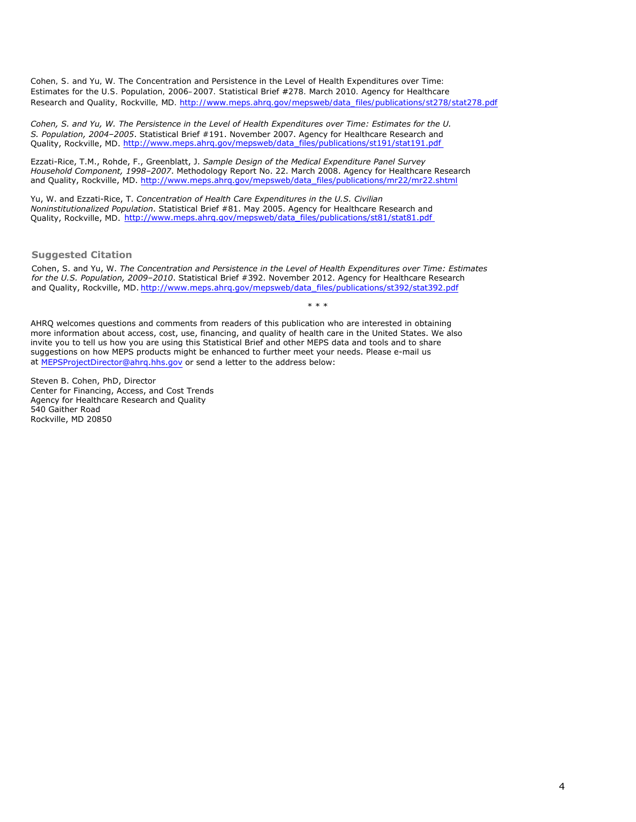Cohen, S. and Yu, W. *The Concentration and Persistence in the Level of Health Expenditures over Time: Estimates for the U.S. Population, 2006–2007*. Statistical Brief #278. March 2010. Agency for Healthcare Research and Quality, Rockville, MD. [http://www.meps.ahrq.gov/mepsweb/data\\_files/publications/st278/stat278.pdf](http://www.meps.ahrq.gov/mepsweb/data_files/publications/st278/stat278.pdf)

*Cohen, S. and Yu, W. The Persistence in the Level of Health Expenditures over Time: Estimates for the U. S. Population, 2004–2005*. Statistical Brief #191. November 2007. Agency for Healthcare Research and Quality, Rockville, MD. [http://www.meps.ahrq.gov/mepsweb/data\\_files/publications/st191/stat191.pdf](http://www.meps.ahrq.gov/mepsweb/data_files/publications/st191/stat191.pdf)

Ezzati-Rice, T.M., Rohde, F., Greenblatt, J. *Sample Design of the Medical Expenditure Panel Survey Household Component, 1998–2007*. Methodology Report No. 22. March 2008. Agency for Healthcare Research and Quality, Rockville, MD. [http://www.meps.ahrq.gov/mepsweb/data\\_files/publications/mr22/mr22.shtml](http://www.meps.ahrq.gov/mepsweb/data_files/publications/mr22/mr22.shtml)

Yu, W. and Ezzati-Rice, T. *Concentration of Health Care Expenditures in the U.S. Civilian Noninstitutionalized Population*. Statistical Brief #81. May 2005. Agency for Healthcare Research and Quality, Rockville, MD. [http://www.meps.ahrq.gov/mepsweb/data\\_files/publications/st81/stat81.pdf](http://www.meps.ahrq.gov/mepsweb/data_files/publications/st81/stat81.pdf)

#### **Suggested Citation**

Cohen, S. and Yu, W. *The Concentration and Persistence in the Level of Health Expenditures over Time: Estimates for the U.S. Population, 2009–2010*. Statistical Brief #392. November 2012. Agency for Healthcare Research and Quality, Rockville, MD. [http://www.meps.ahrq.gov/mepsweb/data\\_files/publications/st392/stat392.pdf](http://www.meps.ahrq.gov/mepsweb/data_files/publications/st392/stat392.pdf)

\* \* \*

AHRQ welcomes questions and comments from readers of this publication who are interested in obtaining more information about access, cost, use, financing, and quality of health care in the United States. We also invite you to tell us how you are using this Statistical Brief and other MEPS data and tools and to share suggestions on how MEPS products might be enhanced to further meet your needs. Please e-mail us at [MEPSProjectDirector@ahrq.hhs.gov o](mailto:MEPSProjectDirector@ahrq.hhs.gov)r send a letter to the address below:

Steven B. Cohen, PhD, Director Center for Financing, Access, and Cost Trends Agency for Healthcare Research and Quality 540 Gaither Road Rockville, MD 20850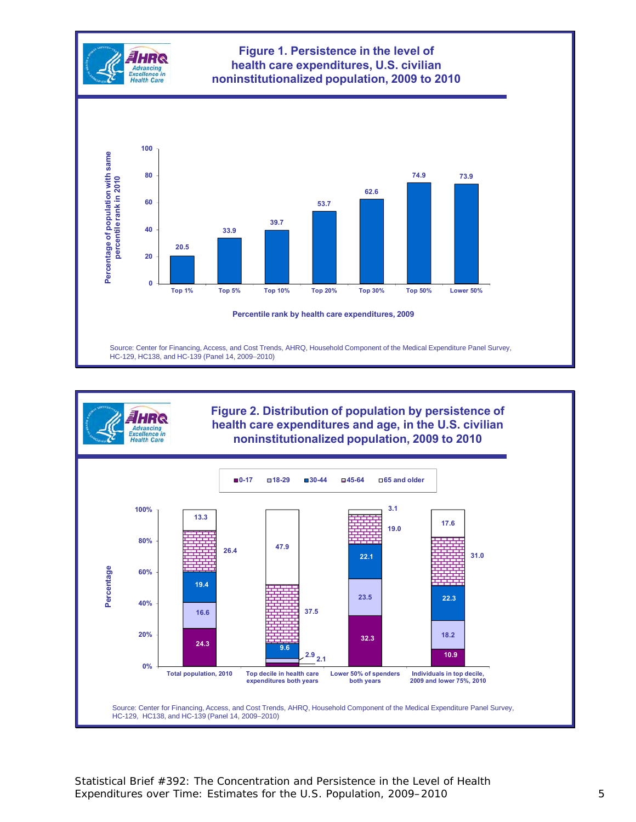

# **Figure 1. Persistence in the level of health care expenditures, U.S. civilian noninstitutionalized population, 2009 to 2010**



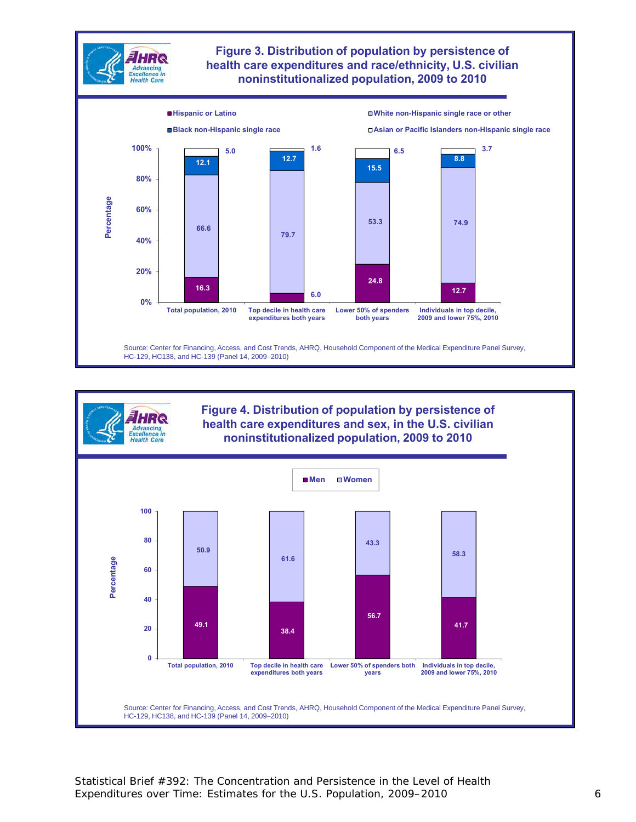

# **Figure 3. Distribution of population by persistence of health care expenditures and race/ethnicity, U.S. civilian noninstitutionalized population, 2009 to 2010**





**Figure 4. Distribution of population by persistence of health care expenditures and sex, in the U.S. civilian noninstitutionalized population, 2009 to 2010**

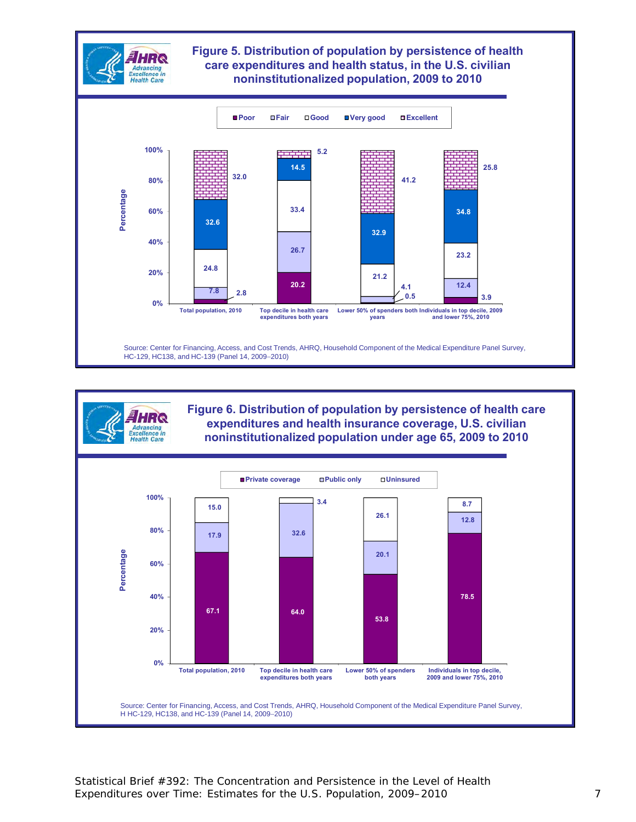

**Figure 6. Distribution of population by persistence of health care expenditures and health insurance coverage, U.S. civilian noninstitutionalized population under age 65, 2009 to 2010**



cellence in<br>cellence in<br>ealth Care

Statistical Brief #392: The Concentration and Persistence in the Level of Health Expenditures over Time: Estimates for the U.S. Population, 2009–2010 7